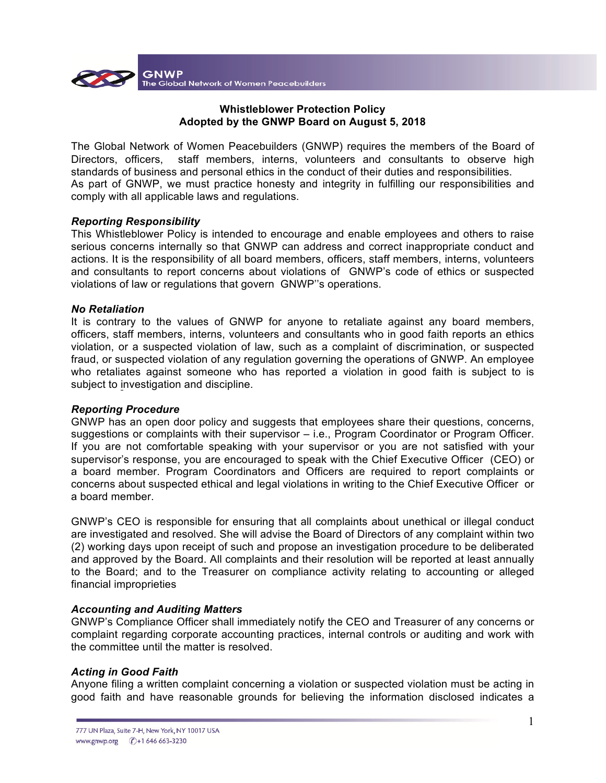

## **Whistleblower Protection Policy Adopted by the GNWP Board on August 5, 2018**

The Global Network of Women Peacebuilders (GNWP) requires the members of the Board of Directors, officers, staff members, interns, volunteers and consultants to observe high standards of business and personal ethics in the conduct of their duties and responsibilities. As part of GNWP, we must practice honesty and integrity in fulfilling our responsibilities and comply with all applicable laws and regulations.

## *Reporting Responsibility*

This Whistleblower Policy is intended to encourage and enable employees and others to raise serious concerns internally so that GNWP can address and correct inappropriate conduct and actions. It is the responsibility of all board members, officers, staff members, interns, volunteers and consultants to report concerns about violations of GNWP's code of ethics or suspected violations of law or regulations that govern GNWP''s operations.

## *No Retaliation*

It is contrary to the values of GNWP for anyone to retaliate against any board members, officers, staff members, interns, volunteers and consultants who in good faith reports an ethics violation, or a suspected violation of law, such as a complaint of discrimination, or suspected fraud, or suspected violation of any regulation governing the operations of GNWP. An employee who retaliates against someone who has reported a violation in good faith is subject to is subject to investigation and discipline.

#### *Reporting Procedure*

GNWP has an open door policy and suggests that employees share their questions, concerns, suggestions or complaints with their supervisor – i.e., Program Coordinator or Program Officer. If you are not comfortable speaking with your supervisor or you are not satisfied with your supervisor's response, you are encouraged to speak with the Chief Executive Officer (CEO) or a board member. Program Coordinators and Officers are required to report complaints or concerns about suspected ethical and legal violations in writing to the Chief Executive Officer or a board member.

GNWP's CEO is responsible for ensuring that all complaints about unethical or illegal conduct are investigated and resolved. She will advise the Board of Directors of any complaint within two (2) working days upon receipt of such and propose an investigation procedure to be deliberated and approved by the Board. All complaints and their resolution will be reported at least annually to the Board; and to the Treasurer on compliance activity relating to accounting or alleged financial improprieties

# *Accounting and Auditing Matters*

GNWP's Compliance Officer shall immediately notify the CEO and Treasurer of any concerns or complaint regarding corporate accounting practices, internal controls or auditing and work with the committee until the matter is resolved.

# *Acting in Good Faith*

Anyone filing a written complaint concerning a violation or suspected violation must be acting in good faith and have reasonable grounds for believing the information disclosed indicates a